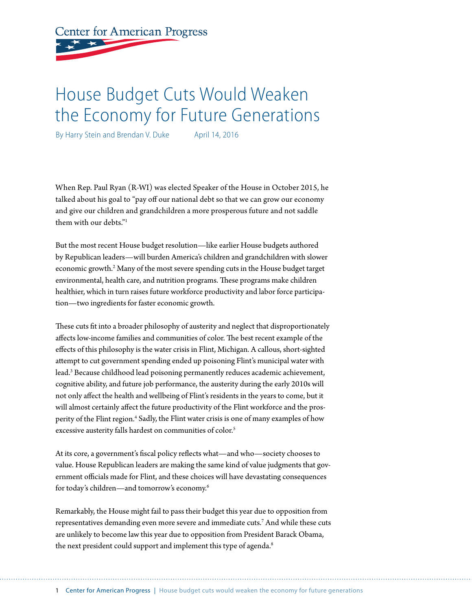**Center for American Progress** 

# House Budget Cuts Would Weaken the Economy for Future Generations

By Harry Stein and Brendan V. Duke April 14, 2016

When Rep. Paul Ryan (R-WI) was elected Speaker of the House in October 2015, he talked about his goal to "pay off our national debt so that we can grow our economy and give our children and grandchildren a more prosperous future and not saddle them with our debts<sup>"1</sup>

But the most recent House budget resolution—like earlier House budgets authored by Republican leaders—will burden America's children and grandchildren with slower economic growth.<sup>2</sup> Many of the most severe spending cuts in the House budget target environmental, health care, and nutrition programs. These programs make children healthier, which in turn raises future workforce productivity and labor force participation—two ingredients for faster economic growth.

These cuts fit into a broader philosophy of austerity and neglect that disproportionately affects low-income families and communities of color. The best recent example of the effects of this philosophy is the water crisis in Flint, Michigan. A callous, short-sighted attempt to cut government spending ended up poisoning Flint's municipal water with lead.3 Because childhood lead poisoning permanently reduces academic achievement, cognitive ability, and future job performance, the austerity during the early 2010s will not only affect the health and wellbeing of Flint's residents in the years to come, but it will almost certainly affect the future productivity of the Flint workforce and the prosperity of the Flint region.<sup>4</sup> Sadly, the Flint water crisis is one of many examples of how excessive austerity falls hardest on communities of color.<sup>5</sup>

At its core, a government's fiscal policy reflects what—and who—society chooses to value. House Republican leaders are making the same kind of value judgments that government officials made for Flint, and these choices will have devastating consequences for today's children—and tomorrow's economy.6

Remarkably, the House might fail to pass their budget this year due to opposition from representatives demanding even more severe and immediate cuts.7 And while these cuts are unlikely to become law this year due to opposition from President Barack Obama, the next president could support and implement this type of agenda.<sup>8</sup>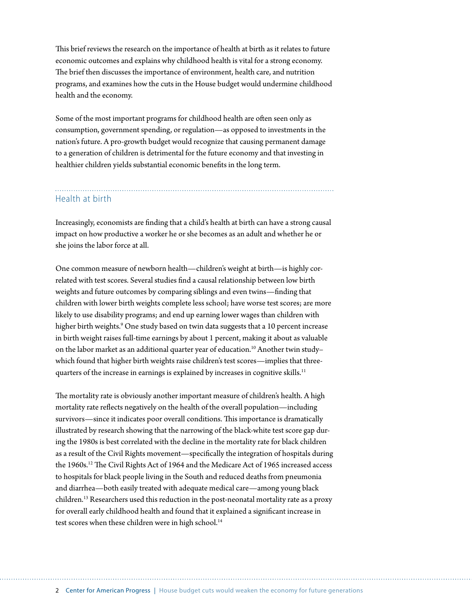This brief reviews the research on the importance of health at birth as it relates to future economic outcomes and explains why childhood health is vital for a strong economy. The brief then discusses the importance of environment, health care, and nutrition programs, and examines how the cuts in the House budget would undermine childhood health and the economy.

Some of the most important programs for childhood health are often seen only as consumption, government spending, or regulation—as opposed to investments in the nation's future. A pro-growth budget would recognize that causing permanent damage to a generation of children is detrimental for the future economy and that investing in healthier children yields substantial economic benefits in the long term.

# Health at birth

Increasingly, economists are finding that a child's health at birth can have a strong causal impact on how productive a worker he or she becomes as an adult and whether he or she joins the labor force at all.

One common measure of newborn health—children's weight at birth—is highly correlated with test scores. Several studies find a causal relationship between low birth weights and future outcomes by comparing siblings and even twins—finding that children with lower birth weights complete less school; have worse test scores; are more likely to use disability programs; and end up earning lower wages than children with higher birth weights.<sup>9</sup> One study based on twin data suggests that a 10 percent increase in birth weight raises full-time earnings by about 1 percent, making it about as valuable on the labor market as an additional quarter year of education.<sup>10</sup> Another twin studywhich found that higher birth weights raise children's test scores—implies that threequarters of the increase in earnings is explained by increases in cognitive skills.<sup>11</sup>

The mortality rate is obviously another important measure of children's health. A high mortality rate reflects negatively on the health of the overall population—including survivors—since it indicates poor overall conditions. This importance is dramatically illustrated by research showing that the narrowing of the black-white test score gap during the 1980s is best correlated with the decline in the mortality rate for black children as a result of the Civil Rights movement—specifically the integration of hospitals during the 1960s.<sup>12</sup> The Civil Rights Act of 1964 and the Medicare Act of 1965 increased access to hospitals for black people living in the South and reduced deaths from pneumonia and diarrhea—both easily treated with adequate medical care—among young black children.13 Researchers used this reduction in the post-neonatal mortality rate as a proxy for overall early childhood health and found that it explained a significant increase in test scores when these children were in high school.<sup>14</sup>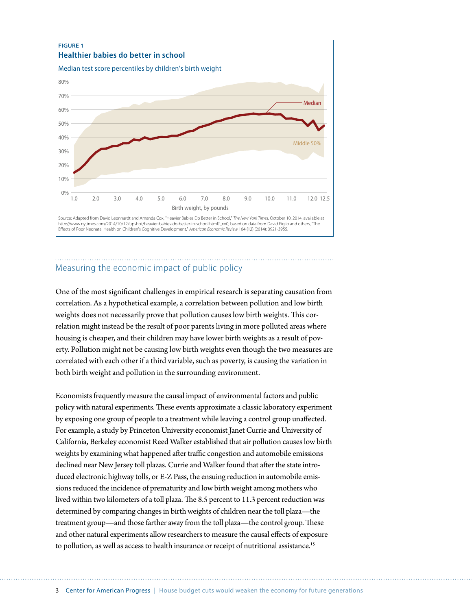

# Measuring the economic impact of public policy

One of the most significant challenges in empirical research is separating causation from correlation. As a hypothetical example, a correlation between pollution and low birth weights does not necessarily prove that pollution causes low birth weights. This correlation might instead be the result of poor parents living in more polluted areas where housing is cheaper, and their children may have lower birth weights as a result of poverty. Pollution might not be causing low birth weights even though the two measures are correlated with each other if a third variable, such as poverty, is causing the variation in both birth weight and pollution in the surrounding environment.

Economists frequently measure the causal impact of environmental factors and public policy with natural experiments. These events approximate a classic laboratory experiment by exposing one group of people to a treatment while leaving a control group unaffected. For example, a study by Princeton University economist Janet Currie and University of California, Berkeley economist Reed Walker established that air pollution causes low birth weights by examining what happened after traffic congestion and automobile emissions declined near New Jersey toll plazas. Currie and Walker found that after the state introduced electronic highway tolls, or E-Z Pass, the ensuing reduction in automobile emissions reduced the incidence of prematurity and low birth weight among mothers who lived within two kilometers of a toll plaza. The 8.5 percent to 11.3 percent reduction was determined by comparing changes in birth weights of children near the toll plaza—the treatment group—and those farther away from the toll plaza—the control group. These and other natural experiments allow researchers to measure the causal effects of exposure to pollution, as well as access to health insurance or receipt of nutritional assistance.<sup>15</sup>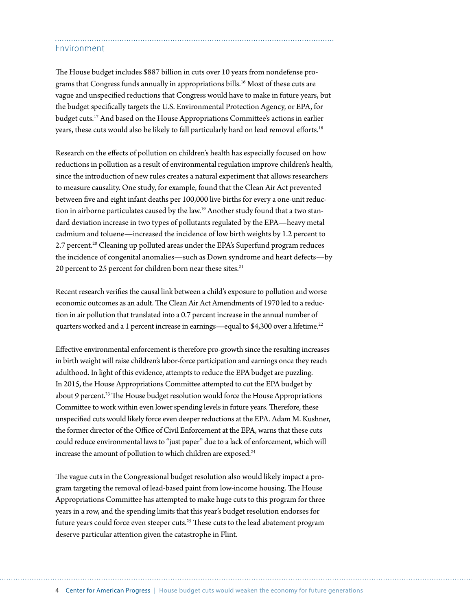## Environment

The House budget includes \$887 billion in cuts over 10 years from nondefense programs that Congress funds annually in appropriations bills.16 Most of these cuts are vague and unspecified reductions that Congress would have to make in future years, but the budget specifically targets the U.S. Environmental Protection Agency, or EPA, for budget cuts.17 And based on the House Appropriations Committee's actions in earlier years, these cuts would also be likely to fall particularly hard on lead removal efforts.<sup>18</sup>

Research on the effects of pollution on children's health has especially focused on how reductions in pollution as a result of environmental regulation improve children's health, since the introduction of new rules creates a natural experiment that allows researchers to measure causality. One study, for example, found that the Clean Air Act prevented between five and eight infant deaths per 100,000 live births for every a one-unit reduction in airborne particulates caused by the law.<sup>19</sup> Another study found that a two standard deviation increase in two types of pollutants regulated by the EPA—heavy metal cadmium and toluene—increased the incidence of low birth weights by 1.2 percent to 2.7 percent.<sup>20</sup> Cleaning up polluted areas under the EPA's Superfund program reduces the incidence of congenital anomalies—such as Down syndrome and heart defects—by 20 percent to 25 percent for children born near these sites.<sup>21</sup>

Recent research verifies the causal link between a child's exposure to pollution and worse economic outcomes as an adult. The Clean Air Act Amendments of 1970 led to a reduction in air pollution that translated into a 0.7 percent increase in the annual number of quarters worked and a 1 percent increase in earnings—equal to \$4,300 over a lifetime.<sup>22</sup>

Effective environmental enforcement is therefore pro-growth since the resulting increases in birth weight will raise children's labor-force participation and earnings once they reach adulthood. In light of this evidence, attempts to reduce the EPA budget are puzzling. In 2015, the House Appropriations Committee attempted to cut the EPA budget by about 9 percent.<sup>23</sup> The House budget resolution would force the House Appropriations Committee to work within even lower spending levels in future years. Therefore, these unspecified cuts would likely force even deeper reductions at the EPA. Adam M. Kushner, the former director of the Office of Civil Enforcement at the EPA, warns that these cuts could reduce environmental laws to "just paper" due to a lack of enforcement, which will increase the amount of pollution to which children are exposed.<sup>24</sup>

The vague cuts in the Congressional budget resolution also would likely impact a program targeting the removal of lead-based paint from low-income housing. The House Appropriations Committee has attempted to make huge cuts to this program for three years in a row, and the spending limits that this year's budget resolution endorses for future years could force even steeper cuts.<sup>25</sup> These cuts to the lead abatement program deserve particular attention given the catastrophe in Flint.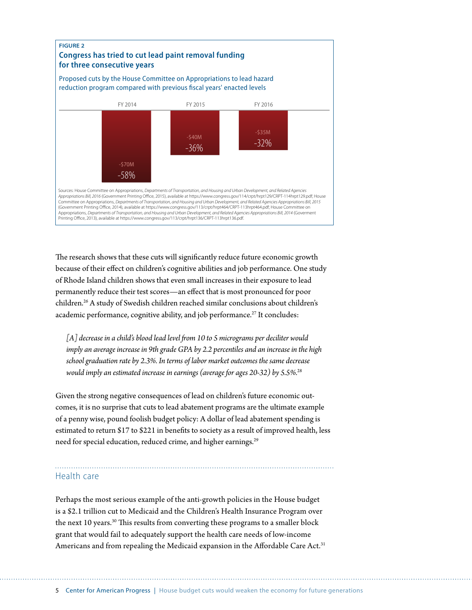

The research shows that these cuts will significantly reduce future economic growth because of their effect on children's cognitive abilities and job performance. One study of Rhode Island children shows that even small increases in their exposure to lead permanently reduce their test scores—an effect that is most pronounced for poor children.26 A study of Swedish children reached similar conclusions about children's academic performance, cognitive ability, and job performance.<sup>27</sup> It concludes:

*[A] decrease in a child's blood lead level from 10 to 5 micrograms per deciliter would imply an average increase in 9th grade GPA by 2.2 percentiles and an increase in the high school graduation rate by 2.3%. In terms of labor market outcomes the same decrease would imply an estimated increase in earnings (average for ages 20-32) by 5.5%.*<sup>28</sup>

Given the strong negative consequences of lead on children's future economic outcomes, it is no surprise that cuts to lead abatement programs are the ultimate example of a penny wise, pound foolish budget policy: A dollar of lead abatement spending is estimated to return \$17 to \$221 in benefits to society as a result of improved health, less need for special education, reduced crime, and higher earnings.<sup>29</sup>

### Health care

Perhaps the most serious example of the anti-growth policies in the House budget is a \$2.1 trillion cut to Medicaid and the Children's Health Insurance Program over the next 10 years.<sup>30</sup> This results from converting these programs to a smaller block grant that would fail to adequately support the health care needs of low-income Americans and from repealing the Medicaid expansion in the Affordable Care Act.<sup>31</sup>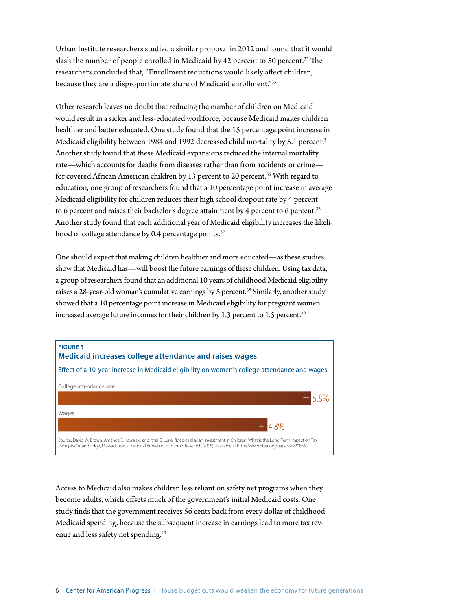Urban Institute researchers studied a similar proposal in 2012 and found that it would slash the number of people enrolled in Medicaid by 42 percent to 50 percent.<sup>32</sup> The researchers concluded that, "Enrollment reductions would likely affect children, because they are a disproportionate share of Medicaid enrollment."33

Other research leaves no doubt that reducing the number of children on Medicaid would result in a sicker and less-educated workforce, because Medicaid makes children healthier and better educated. One study found that the 15 percentage point increase in Medicaid eligibility between 1984 and 1992 decreased child mortality by 5.1 percent.<sup>34</sup> Another study found that these Medicaid expansions reduced the internal mortality rate—which accounts for deaths from diseases rather than from accidents or crime for covered African American children by 13 percent to 20 percent.<sup>35</sup> With regard to education, one group of researchers found that a 10 percentage point increase in average Medicaid eligibility for children reduces their high school dropout rate by 4 percent to 6 percent and raises their bachelor's degree attainment by 4 percent to 6 percent.<sup>36</sup> Another study found that each additional year of Medicaid eligibility increases the likelihood of college attendance by 0.4 percentage points.<sup>37</sup>

One should expect that making children healthier and more educated—as these studies show that Medicaid has—will boost the future earnings of these children. Using tax data, a group of researchers found that an additional 10 years of childhood Medicaid eligibility raises a 28-year-old woman's cumulative earnings by 5 percent.<sup>38</sup> Similarly, another study showed that a 10 percentage point increase in Medicaid eligibility for pregnant women increased average future incomes for their children by 1.3 percent to 1.5 percent.<sup>39</sup>



Access to Medicaid also makes children less reliant on safety net programs when they become adults, which offsets much of the government's initial Medicaid costs. One study finds that the government receives 56 cents back from every dollar of childhood Medicaid spending, because the subsequent increase in earnings lead to more tax revenue and less safety net spending.40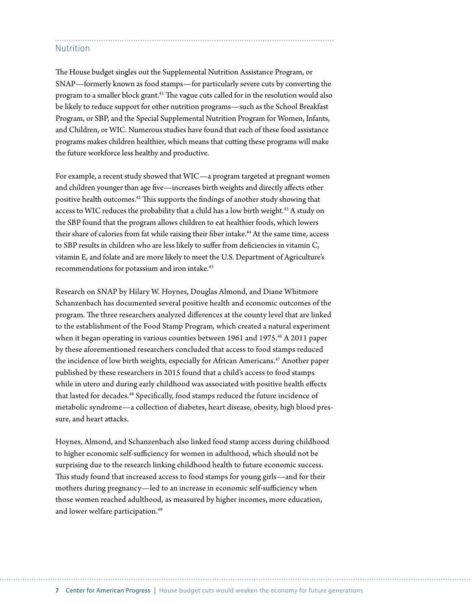## **Nutrition**

The House budget singles out the Supplemental Nutrition Assistance Program, or SNAP—formerly known as food stamps—for particularly severe cuts by converting the program to a smaller block grant.41 The vague cuts called for in the resolution would also be likely to reduce support for other nutrition programs—such as the School Breakfast Program, or SBP, and the Special Supplemental Nutrition Program for Women, Infants, and Children, or WIC. Numerous studies have found that each of these food assistance programs makes children healthier, which means that cutting these programs will make the future workforce less healthy and productive.

For example, a recent study showed that WIC—a program targeted at pregnant women and children younger than age five—increases birth weights and directly affects other positive health outcomes.42 This supports the findings of another study showing that access to WIC reduces the probability that a child has a low birth weight.<sup>43</sup> A study on the SBP found that the program allows children to eat healthier foods, which lowers their share of calories from fat while raising their fiber intake.<sup>44</sup> At the same time, access to SBP results in children who are less likely to suffer from deficiencies in vitamin C, vitamin E, and folate and are more likely to meet the U.S. Department of Agriculture's recommendations for potassium and iron intake.<sup>45</sup>

Research on SNAP by Hilary W. Hoynes, Douglas Almond, and Diane Whitmore Schanzenbach has documented several positive health and economic outcomes of the program. The three researchers analyzed differences at the county level that are linked to the establishment of the Food Stamp Program, which created a natural experiment when it began operating in various counties between 1961 and 1975.<sup>46</sup> A 2011 paper by these aforementioned researchers concluded that access to food stamps reduced the incidence of low birth weights, especially for African Americans.<sup>47</sup> Another paper published by these researchers in 2015 found that a child's access to food stamps while in utero and during early childhood was associated with positive health effects that lasted for decades.<sup>48</sup> Specifically, food stamps reduced the future incidence of metabolic syndrome—a collection of diabetes, heart disease, obesity, high blood pressure, and heart attacks.

Hoynes, Almond, and Schanzenbach also linked food stamp access during childhood to higher economic self-sufficiency for women in adulthood, which should not be surprising due to the research linking childhood health to future economic success. This study found that increased access to food stamps for young girls—and for their mothers during pregnancy—led to an increase in economic self-sufficiency when those women reached adulthood, as measured by higher incomes, more education, and lower welfare participation.<sup>49</sup>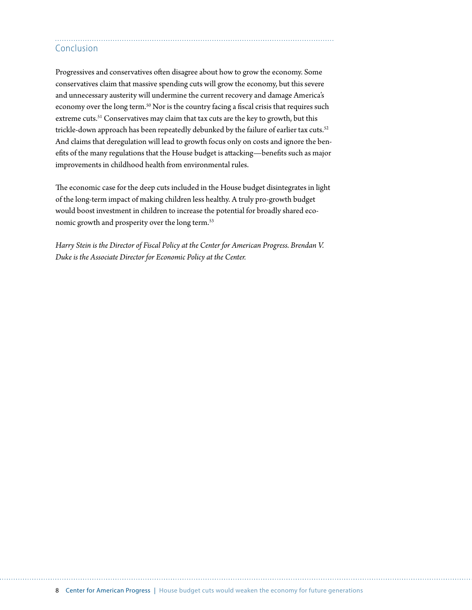# Conclusion

Progressives and conservatives often disagree about how to grow the economy. Some conservatives claim that massive spending cuts will grow the economy, but this severe and unnecessary austerity will undermine the current recovery and damage America's economy over the long term.<sup>50</sup> Nor is the country facing a fiscal crisis that requires such extreme cuts.<sup>51</sup> Conservatives may claim that tax cuts are the key to growth, but this trickle-down approach has been repeatedly debunked by the failure of earlier tax cuts.<sup>52</sup> And claims that deregulation will lead to growth focus only on costs and ignore the benefits of the many regulations that the House budget is attacking—benefits such as major improvements in childhood health from environmental rules.

The economic case for the deep cuts included in the House budget disintegrates in light of the long-term impact of making children less healthy. A truly pro-growth budget would boost investment in children to increase the potential for broadly shared economic growth and prosperity over the long term.<sup>53</sup>

*Harry Stein is the Director of Fiscal Policy at the Center for American Progress. Brendan V. Duke is the Associate Director for Economic Policy at the Center.*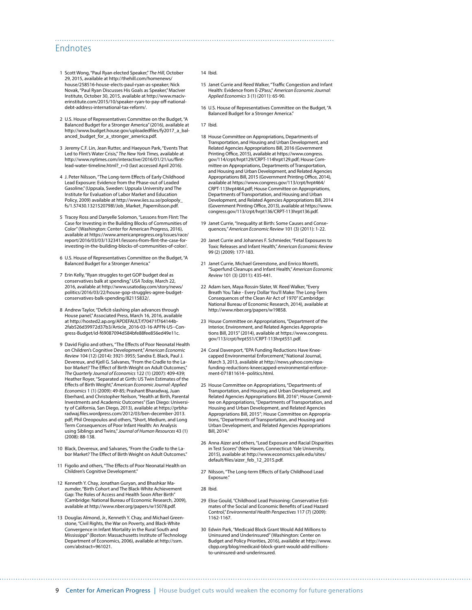### Endnotes

- 1 Scott Wong, "Paul Ryan elected Speaker," *The Hill*, October 29, 2015, available at [http://thehill.com/homenews/](http://thehill.com/homenews/house/258516-house-elects-paul-ryan-as-speaker) [house/258516-house-elects-paul-ryan-as-speaker](http://thehill.com/homenews/house/258516-house-elects-paul-ryan-as-speaker); Nick Novak, "Paul Ryan Discusses His Goals as Speaker," MacIver Institute, October 30, 2015, available at [http://www.maciv](http://www.maciverinstitute.com/2015/10/speaker-ryan-to-pay-off-national-debt-address-international-tax-reform/)[erinstitute.com/2015/10/speaker-ryan-to-pay-off-national](http://www.maciverinstitute.com/2015/10/speaker-ryan-to-pay-off-national-debt-address-international-tax-reform/)[debt-address-international-tax-reform/](http://www.maciverinstitute.com/2015/10/speaker-ryan-to-pay-off-national-debt-address-international-tax-reform/).
- 2 U.S. House of Representatives Committee on the Budget, "A Balanced Budget for a Stronger America" (2016), available at [http://www.budget.house.gov/uploadedfiles/fy2017\\_a\\_bal](http://www.budget.house.gov/uploadedfiles/fy2017_a_balanced_budget_for_a_stronger_america.pdf)[anced\\_budget\\_for\\_a\\_stronger\\_america.pdf](http://www.budget.house.gov/uploadedfiles/fy2017_a_balanced_budget_for_a_stronger_america.pdf).
- 3 Jeremy C.F. Lin, Jean Rutter, and Haeyoun Park, "Events That Led to Flint's Water Crisis," *The New York Times,* available at [http://www.nytimes.com/interactive/2016/01/21/us/flint](http://www.nytimes.com/interactive/2016/01/21/us/flint-lead-water-timeline.html?_r=0)[lead-water-timeline.html?\\_r=0](http://www.nytimes.com/interactive/2016/01/21/us/flint-lead-water-timeline.html?_r=0) (last accessed April 2016).
- 4 J. Peter Nilsson, "The Long-term Effects of Early Childhood Lead Exposure: Evidence from the Phase-out of Leaded Gasoline," (Uppsala, Sweden: Uppsala University and The Institute for Evaluation of Labor Market and Education Policy, 2009) available at [http://www.iies.su.se/polopoly\\_](http://www.iies.su.se/polopoly_fs/1.57430.1321520798!/Job_Market_Papernilsson.pdf) [fs/1.57430.1321520798!/Job\\_Market\\_Papernilsson.pdf](http://www.iies.su.se/polopoly_fs/1.57430.1321520798!/Job_Market_Papernilsson.pdf).
- 5 Tracey Ross and Danyelle Solomon, "Lessons from Flint: The Case for Investing in the Building Blocks of Communities of Color" (Washington: Center for American Progress, 2016), available at [https://www.americanprogress.org/issues/race/](https://www.americanprogress.org/issues/race/report/2016/03/03/132341/lessons-from-flint-the-case-for-investing-in-the-building-blocks-of-communities-of-color/) [report/2016/03/03/132341/lessons-from-flint-the-case-for](https://www.americanprogress.org/issues/race/report/2016/03/03/132341/lessons-from-flint-the-case-for-investing-in-the-building-blocks-of-communities-of-color/)[investing-in-the-building-blocks-of-communities-of-color/](https://www.americanprogress.org/issues/race/report/2016/03/03/132341/lessons-from-flint-the-case-for-investing-in-the-building-blocks-of-communities-of-color/).
- 6 U.S. House of Representatives Committee on the Budget, "A Balanced Budget for a Stronger America."
- 7 Erin Kelly, "Ryan struggles to get GOP budget deal as conservatives balk at spending," *USA Today*, March 22, 2016, available at [http://www.usatoday.com/story/news/](http://www.usatoday.com/story/news/politics/2016/03/22/house-gop-struggles-agree-budget-conservatives-balk-spending/82115832/) [politics/2016/03/22/house-gop-struggles-agree-budget](http://www.usatoday.com/story/news/politics/2016/03/22/house-gop-struggles-agree-budget-conservatives-balk-spending/82115832/)[conservatives-balk-spending/82115832/](http://www.usatoday.com/story/news/politics/2016/03/22/house-gop-struggles-agree-budget-conservatives-balk-spending/82115832/).
- 8 Andrew Taylor, "Deficit-slashing plan advances through House panel," Associated Press, March 16, 2016, available at [http://hosted2.ap.org/APDEFAULT/f70471f764144b-](http://hosted2.ap.org/APDEFAULT/f70471f764144b2fab526d39972d37b3/Article_2016-03-16-APFN-US--Congress-Budget/id-f69087094d584bfe88fee856ed49e11c)[2fab526d39972d37b3/Article\\_2016-03-16-APFN-US--Con](http://hosted2.ap.org/APDEFAULT/f70471f764144b2fab526d39972d37b3/Article_2016-03-16-APFN-US--Congress-Budget/id-f69087094d584bfe88fee856ed49e11c)[gress-Budget/id-f69087094d584bfe88fee856ed49e11c.](http://hosted2.ap.org/APDEFAULT/f70471f764144b2fab526d39972d37b3/Article_2016-03-16-APFN-US--Congress-Budget/id-f69087094d584bfe88fee856ed49e11c)
- 9 David Figlio and others, "The Effects of Poor Neonatal Health on Children's Cognitive Development," *American Economic Review* 104 (12) (2014): 3921-3955; Sandra E. Black, Paul J. Devereux, and Kjell G. Salvanes, "From the Cradle to the Labor Market? The Effect of Birth Weight on Adult Outcomes," *The Quarterly Journal of Economics* 122 (1) (2007): 409-439; Heather Royer, "Separated at Girth: US Twin Estimates of the Effects of Birth Weight," *American Economic Journal: Applied Economics* 1 (1) (2009): 49-85; Prashant Bharadwaj, Juan Eberhard, and Christopher Neilson, "Health at Birth, Parental Investments and Academic Outcomes" (San Diego: University of California, San Diego, 2013), available at [https://prbha](https://prbharadwaj.files.wordpress.com/2012/03/ben-december-2013.pdf)[radwaj.files.wordpress.com/2012/03/ben-december-2013.](https://prbharadwaj.files.wordpress.com/2012/03/ben-december-2013.pdf) [pdf](https://prbharadwaj.files.wordpress.com/2012/03/ben-december-2013.pdf); Phil Oreopoulos and others, "Short, Medium, and Long Term Consequences of Poor Infant Health: An Analysis using Siblings and Twins," *Journal of Human Resources* 43 (1) (2008): 88-138.
- 10 Black, Devereux, and Salvanes, "From the Cradle to the Labor Market? The Effect of Birth Weight on Adult Outcomes."
- 11 Figolio and others, "The Effects of Poor Neonatal Health on Children's Cognitive Development."
- 12 Kenneth Y. Chay, Jonathan Guryan, and Bhashkar Ma-zumder, "Birth Cohort and The Black-White Achievement Gap: The Roles of Access and Health Soon After Birth" (Cambridge: National Bureau of Economic Research, 2009), available at [http://www.nber.org/papers/w15078.pdf.](http://www.nber.org/papers/w15078.pdf)
- 13 Douglas Almond, Jr., Kenneth Y. Chay, and Michael Greenstone, "Civil Rights, the War on Poverty, and Black-White Convergence in Infant Mortality in the Rural South and Mississippi" (Boston: Massachusetts Institute of Technology Department of Economics, 2006), available at [http://ssrn.](http://ssrn.com/abstract=961021) [com/abstract=961021.](http://ssrn.com/abstract=961021)

#### 14 Ibid.

- 15 Janet Currie and Reed Walker, "Traffic Congestion and Infant Health: Evidence from E-ZPass," *American Economic Journal: Applied Economics* 3 (1) (2011): 65-90.
- 16 U.S. House of Representatives Committee on the Budget, "A Balanced Budget for a Stronger America."

#### 17 Ibid.

- 18 House Committee on Appropriations, Departments of Transportation, and Housing and Urban Development, and Related Agencies Appropriations Bill, 2016 (Government Printing Office, 2015), available at [https://www.congress.](https://www.congress.gov/114/crpt/hrpt129/CRPT-114hrpt129.pdf) [gov/114/crpt/hrpt129/CRPT-114hrpt129.pdf](https://www.congress.gov/114/crpt/hrpt129/CRPT-114hrpt129.pdf); House Committee on Appropriations, Departments of Transportation, and Housing and Urban Development, and Related Agencies Appropriations Bill, 2015 (Government Printing Office, 2014), available at [https://www.congress.gov/113/crpt/hrpt464/](https://www.congress.gov/113/crpt/hrpt464/CRPT-113hrpt464.pdf) [CRPT-113hrpt464.pdf](https://www.congress.gov/113/crpt/hrpt464/CRPT-113hrpt464.pdf); House Committee on Appropriations, Departments of Transportation, and Housing and Urban Development, and Related Agencies Appropriations Bill, 2014 (Government Printing Office, 2013), available at [https://www.](https://www.congress.gov/113/crpt/hrpt136/CRPT-113hrpt136.pdf) [congress.gov/113/crpt/hrpt136/CRPT-113hrpt136.pdf.](https://www.congress.gov/113/crpt/hrpt136/CRPT-113hrpt136.pdf)
- 19 Janet Currie, "Inequality at Birth: Some Causes and Consequences*," American Economic Review* 101 (3) (2011): 1-22.
- 20 Janet Currie and Johannes F. Schmieder, "Fetal Exposures to Toxic Releases and Infant Health," *American Economic Review* 99 (2) (2009): 177-183.
- 21 Janet Currie, Michael Greenstone, and Enrico Moretti, "Superfund Cleanups and Infant Health," *American Economic Review* 101 (3) (2011): 435-441.
- 22 Adam Isen, Maya Rossin-Slater, W. Reed Walker, "Every Breath You Take - Every Dollar You'll Make: The Long-Term Consequences of the Clean Air Act of 1970" (Cambridge: National Bureau of Economic Research, 2014), available at [http://www.nber.org/papers/w19858.](http://www.nber.org/papers/w19858)
- 23 House Committee on Appropriations, "Department of the Interior, Environment, and Related Agencies Appropriations Bill, 2015" (2014), available at [https://www.congress.](https://www.congress.gov/113/crpt/hrpt551/CRPT-113hrpt551.pdf) [gov/113/crpt/hrpt551/CRPT-113hrpt551.pdf.](https://www.congress.gov/113/crpt/hrpt551/CRPT-113hrpt551.pdf)
- 24 Coral Davenport, "EPA Funding Reductions Have Kneecapped Environmental Enforcement," National Journal, March 3, 2013, available at [http://news.yahoo.com/epa](http://news.yahoo.com/epa-funding-reductions-kneecapped-environmental-enforcement-071811614--politics.html)[funding-reductions-kneecapped-environmental-enforce](http://news.yahoo.com/epa-funding-reductions-kneecapped-environmental-enforcement-071811614--politics.html)[ment-071811614--politics.html](http://news.yahoo.com/epa-funding-reductions-kneecapped-environmental-enforcement-071811614--politics.html).
- 25 House Committee on Appropriations, "Departments of Transportation, and Housing and Urban Development, and Related Agencies Appropriations Bill, 2016"; House Committee on Appropriations, "Departments of Transportation, and Housing and Urban Development, and Related Agencies Appropriations Bill, 2015"; House Committee on Appropriations, "Departments of Transportation, and Housing and Urban Development, and Related Agencies Appropriations Bill, 2014."
- 26 Anna Aizer and others, "Lead Exposure and Racial Disparities in Test Scores" (New Haven, Connecticut: Yale University, 2015), available at http://www.economics.yale.edu/sites/ default/files/aizer\_feb\_12\_2015.pdf.
- 27 Nilsson, "The Long-term Effects of Early Childhood Lead Exposure."

28 Ibid.

- 29 Elise Gould, "Childhood Lead Poisoning: Conservative Estimates of the Social and Economic Benefits of Lead Hazard Control," *Environmental Health Perspectives* 117 (7) (2009): 1162-1167.
- 30 Edwin Park, "Medicaid Block Grant Would Add Millions to Uninsured and Underinsured" (Washington: Center on Budget and Policy Priorities, 2016), available at [http://www.](http://www.cbpp.org/blog/medicaid-block-grant-would-add-millions-to-uninsured-and-underinsured) [cbpp.org/blog/medicaid-block-grant-would-add-millions](http://www.cbpp.org/blog/medicaid-block-grant-would-add-millions-to-uninsured-and-underinsured)[to-uninsured-and-underinsured](http://www.cbpp.org/blog/medicaid-block-grant-would-add-millions-to-uninsured-and-underinsured).